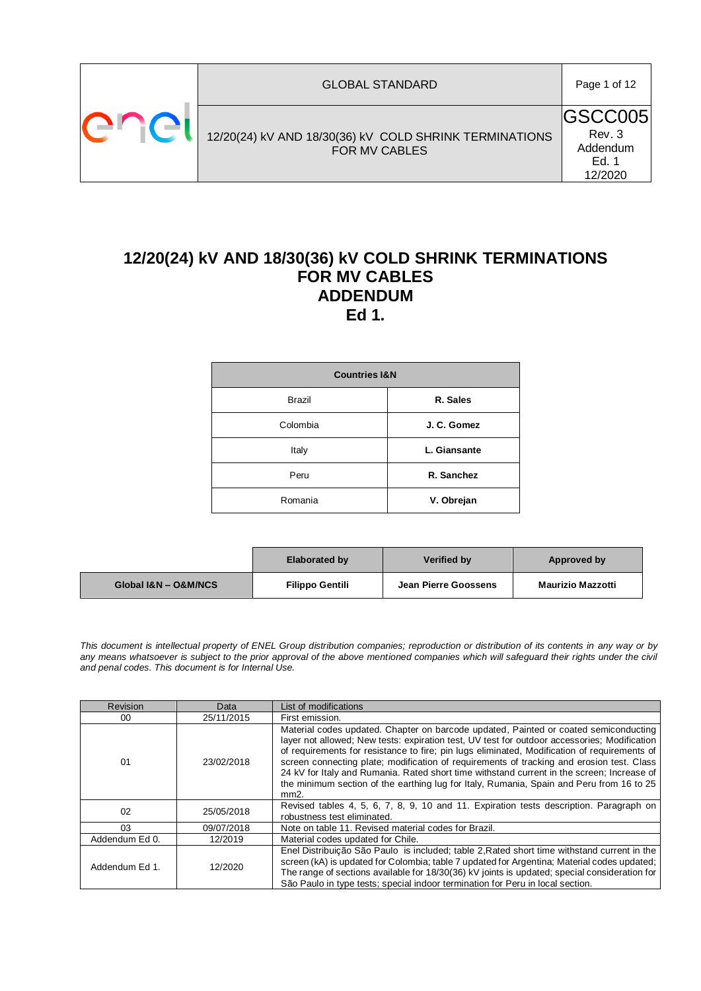| er 1 | <b>GLOBAL STANDARD</b>                                                         | Page 1 of 12                                              |
|------|--------------------------------------------------------------------------------|-----------------------------------------------------------|
|      | 12/20(24) kV AND 18/30(36) kV COLD SHRINK TERMINATIONS<br><b>FOR MV CABLES</b> | <b>IGSCC005</b><br>Rev. 3<br>Addendum<br>Ed. 1<br>12/2020 |

# **12/20(24) kV AND 18/30(36) kV COLD SHRINK TERMINATIONS FOR MV CABLES ADDENDUM Ed 1.**

| <b>Countries I&amp;N</b> |              |  |  |  |
|--------------------------|--------------|--|--|--|
| <b>Brazil</b>            | R. Sales     |  |  |  |
| Colombia                 | J. C. Gomez  |  |  |  |
| Italy                    | L. Giansante |  |  |  |
| Peru                     | R. Sanchez   |  |  |  |
| Romania                  | V. Obrejan   |  |  |  |

|                      | <b>Elaborated by</b>   | <b>Verified by</b>          | Approved by              |
|----------------------|------------------------|-----------------------------|--------------------------|
| Global I&N - O&M/NCS | <b>Filippo Gentili</b> | <b>Jean Pierre Goossens</b> | <b>Maurizio Mazzotti</b> |

*This document is intellectual property of ENEL Group distribution companies; reproduction or distribution of its contents in any way or by*  any means whatsoever is subject to the prior approval of the above mentioned companies which will safeguard their rights under the civil *and penal codes. This document is for Internal Use.*

| Revision       | Data       | List of modifications                                                                                                                                                                                                                                                                                                                                                                                                                                                                                                                                                                  |
|----------------|------------|----------------------------------------------------------------------------------------------------------------------------------------------------------------------------------------------------------------------------------------------------------------------------------------------------------------------------------------------------------------------------------------------------------------------------------------------------------------------------------------------------------------------------------------------------------------------------------------|
| 00             | 25/11/2015 | First emission.                                                                                                                                                                                                                                                                                                                                                                                                                                                                                                                                                                        |
| 01             | 23/02/2018 | Material codes updated. Chapter on barcode updated, Painted or coated semiconducting<br>layer not allowed; New tests: expiration test, UV test for outdoor accessories; Modification<br>of requirements for resistance to fire; pin lugs eliminated, Modification of requirements of<br>screen connecting plate; modification of requirements of tracking and erosion test. Class<br>24 kV for Italy and Rumania. Rated short time withstand current in the screen; Increase of<br>the minimum section of the earthing lug for Italy, Rumania, Spain and Peru from 16 to 25<br>$mm2$ . |
| 02             | 25/05/2018 | Revised tables 4, 5, 6, 7, 8, 9, 10 and 11. Expiration tests description. Paragraph on<br>robustness test eliminated.                                                                                                                                                                                                                                                                                                                                                                                                                                                                  |
| 03             | 09/07/2018 | Note on table 11. Revised material codes for Brazil.                                                                                                                                                                                                                                                                                                                                                                                                                                                                                                                                   |
| Addendum Ed 0. | 12/2019    | Material codes updated for Chile.                                                                                                                                                                                                                                                                                                                                                                                                                                                                                                                                                      |
| Addendum Ed 1. | 12/2020    | Enel Distribuicão São Paulo is included; table 2, Rated short time withstand current in the<br>screen (kA) is updated for Colombia; table 7 updated for Argentina; Material codes updated;<br>The range of sections available for 18/30(36) kV joints is updated; special consideration for<br>São Paulo in type tests; special indoor termination for Peru in local section.                                                                                                                                                                                                          |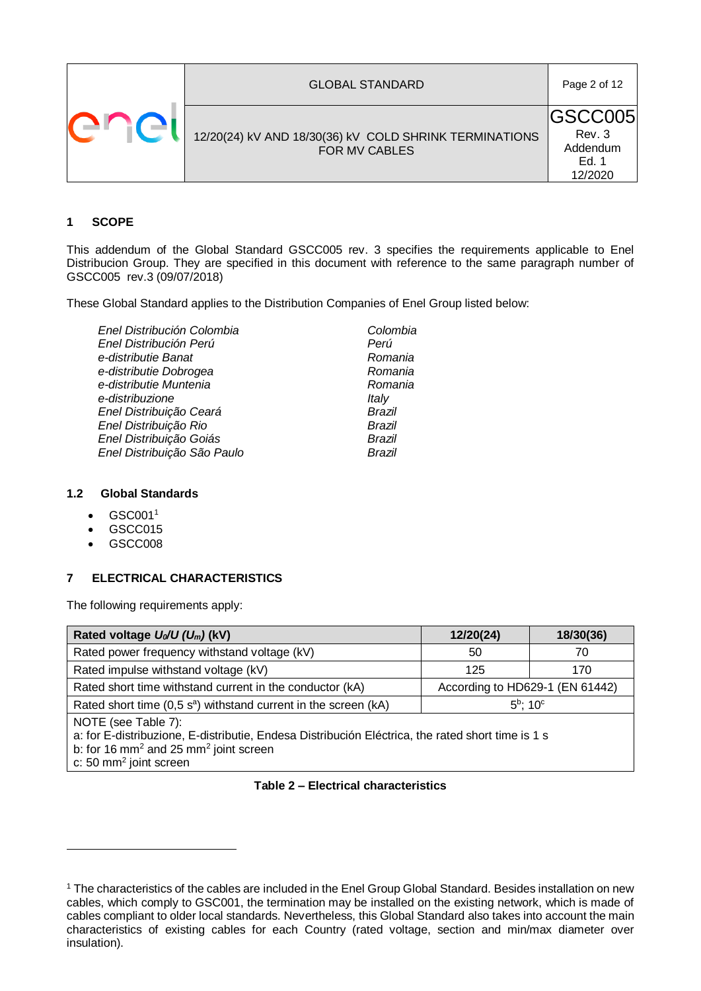|  | <b>GLOBAL STANDARD</b>                                                  | Page 2 of 12                                             |
|--|-------------------------------------------------------------------------|----------------------------------------------------------|
|  | 12/20(24) kV AND 18/30(36) kV COLD SHRINK TERMINATIONS<br>FOR MV CABLES | <b>GSCC005</b><br>Rev. 3<br>Addendum<br>Ed. 1<br>12/2020 |

#### **1 SCOPE**

This addendum of the Global Standard GSCC005 rev. 3 specifies the requirements applicable to Enel Distribucion Group. They are specified in this document with reference to the same paragraph number of GSCC005 rev.3 (09/07/2018)

These Global Standard applies to the Distribution Companies of Enel Group listed below:

| Enel Distribución Colombia  | Colombia |
|-----------------------------|----------|
| Enel Distribución Perú      | Perú     |
| e-distributie Banat         | Romania  |
| e-distributie Dobrogea      | Romania  |
| e-distributie Muntenia      | Romania  |
| e-distribuzione             | Italy    |
| Enel Distribuição Ceará     | Brazil   |
| Enel Distribuição Rio       | Brazil   |
| Enel Distribuição Goiás     | Brazil   |
| Enel Distribuição São Paulo | Brazil   |
|                             |          |

## **1.2 Global Standards**

- $\bullet$  GSC001<sup>1</sup>
- GSCC015
- GSCC008

1

#### **7 ELECTRICAL CHARACTERISTICS**

The following requirements apply:

| Rated voltage $U_0/U (U_m)$ (kV)                                                                                                                                                                                      | 12/20(24)                       | 18/30(36) |  |  |
|-----------------------------------------------------------------------------------------------------------------------------------------------------------------------------------------------------------------------|---------------------------------|-----------|--|--|
| Rated power frequency withstand voltage (kV)                                                                                                                                                                          | 50                              | 70        |  |  |
| Rated impulse withstand voltage (kV)                                                                                                                                                                                  | 125                             | 170       |  |  |
| Rated short time withstand current in the conductor (kA)                                                                                                                                                              | According to HD629-1 (EN 61442) |           |  |  |
| $5^{\rm b}$ : 10 $^{\rm c}$<br>Rated short time $(0,5 \text{ s}^a)$ withstand current in the screen (kA)                                                                                                              |                                 |           |  |  |
| NOTE (see Table 7):<br>a: for E-distribuzione, E-distributie, Endesa Distribución Eléctrica, the rated short time is 1 s<br>b: for 16 mm <sup>2</sup> and 25 mm <sup>2</sup> joint screen<br>c: 50 $mm2$ joint screen |                                 |           |  |  |

#### **Table 2 – Electrical characteristics**

<sup>&</sup>lt;sup>1</sup> The characteristics of the cables are included in the Enel Group Global Standard. Besides installation on new cables, which comply to GSC001, the termination may be installed on the existing network, which is made of cables compliant to older local standards. Nevertheless, this Global Standard also takes into account the main characteristics of existing cables for each Country (rated voltage, section and min/max diameter over insulation).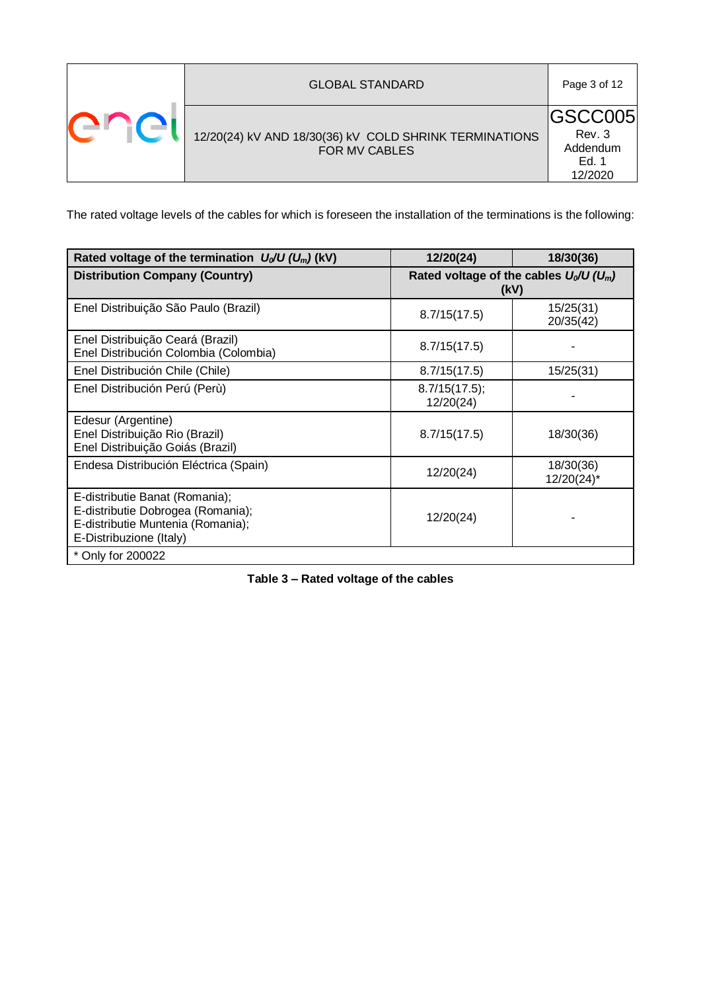|  | <b>GLOBAL STANDARD</b>                                                  | Page 3 of 12                                              |
|--|-------------------------------------------------------------------------|-----------------------------------------------------------|
|  | 12/20(24) kV AND 18/30(36) kV COLD SHRINK TERMINATIONS<br>FOR MV CABLES | <b>IGSCC005</b><br>Rev. 3<br>Addendum<br>Ed. 1<br>12/2020 |

The rated voltage levels of the cables for which is foreseen the installation of the terminations is the following:

<span id="page-2-0"></span>

| Rated voltage of the termination $U_0/U (U_m)$ (kV)                                                                                 | 12/20(24)                                        | 18/30(36)               |  |
|-------------------------------------------------------------------------------------------------------------------------------------|--------------------------------------------------|-------------------------|--|
| <b>Distribution Company (Country)</b>                                                                                               | Rated voltage of the cables $U_0/U(U_m)$<br>(kV) |                         |  |
| Enel Distribuição São Paulo (Brazil)                                                                                                | 8.7/15(17.5)                                     | 15/25(31)<br>20/35(42)  |  |
| Enel Distribuição Ceará (Brazil)<br>Enel Distribución Colombia (Colombia)                                                           | 8.7/15(17.5)                                     |                         |  |
| Enel Distribución Chile (Chile)                                                                                                     | 8.7/15(17.5)                                     | 15/25(31)               |  |
| Enel Distribución Perú (Perù)                                                                                                       | 8.7/15(17.5);<br>12/20(24)                       |                         |  |
| Edesur (Argentine)<br>Enel Distribuição Rio (Brazil)<br>Enel Distribuição Goiás (Brazil)                                            | 8.7/15(17.5)                                     | 18/30(36)               |  |
| Endesa Distribución Eléctrica (Spain)                                                                                               | 12/20(24)                                        | 18/30(36)<br>12/20(24)* |  |
| E-distributie Banat (Romania);<br>E-distributie Dobrogea (Romania);<br>E-distributie Muntenia (Romania);<br>E-Distribuzione (Italy) | 12/20(24)                                        |                         |  |
| * Only for 200022                                                                                                                   |                                                  |                         |  |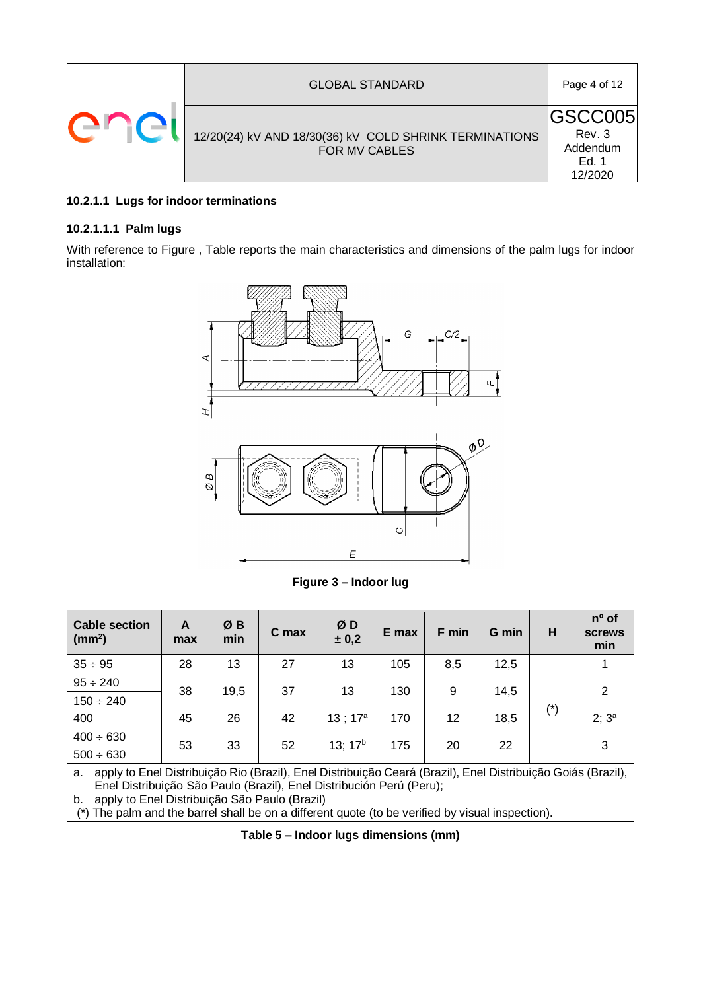|  | <b>GLOBAL STANDARD</b>                                                         | Page 4 of 12                                              |
|--|--------------------------------------------------------------------------------|-----------------------------------------------------------|
|  | 12/20(24) kV AND 18/30(36) kV COLD SHRINK TERMINATIONS<br><b>FOR MV CABLES</b> | <b>IGSCC005</b><br>Rev. 3<br>Addendum<br>Ed. 1<br>12/2020 |

# **10.2.1.1 Lugs for indoor terminations**

## **10.2.1.1.1 Palm lugs**

With reference to [Figure ,](#page-3-0) [Table](#page-3-1) reports the main characteristics and dimensions of the palm lugs for indoor installation:



**Figure 3 – Indoor lug**

<span id="page-3-0"></span>

| <b>Cable section</b><br>$\text{ (mm}^2\text{)}$                                                                    | A<br>max | ØΒ<br>min | C max | ØD<br>± 0,2         | E max | F min | G min | н             | $n^{\circ}$ of<br><b>screws</b><br>min |  |
|--------------------------------------------------------------------------------------------------------------------|----------|-----------|-------|---------------------|-------|-------|-------|---------------|----------------------------------------|--|
| $35 \div 95$                                                                                                       | 28       | 13        | 27    | 13                  | 105   | 8,5   | 12,5  |               |                                        |  |
| $95 \div 240$                                                                                                      |          |           | 37    | 13                  |       | 9     |       |               | 2                                      |  |
| $150 \div 240$                                                                                                     | 38       |           | 19,5  |                     |       | 130   |       | 14,5          |                                        |  |
| 400                                                                                                                | 45       | 26        | 42    | $13:17^a$           | 170   | 12    | 18,5  | $(\hbox{}^*)$ | $2; 3^a$                               |  |
| $400 \div 630$                                                                                                     | 53       | 33        | 52    | 13; 17 <sup>b</sup> | 175   | 20    | 22    |               | 3                                      |  |
| $500 \div 630$                                                                                                     |          |           |       |                     |       |       |       |               |                                        |  |
| apply to Enel Distribuição Rio (Brazil), Enel Distribuição Ceará (Brazil), Enel Distribuição Goiás (Brazil),<br>а. |          |           |       |                     |       |       |       |               |                                        |  |

Enel Distribuição São Paulo (Brazil), Enel Distribución Perú (Peru);

b. apply to Enel Distribuição São Paulo (Brazil)

<span id="page-3-1"></span>(\*) The palm and the barrel shall be on a different quote (to be verified by visual inspection).

**Table 5 – Indoor lugs dimensions (mm)**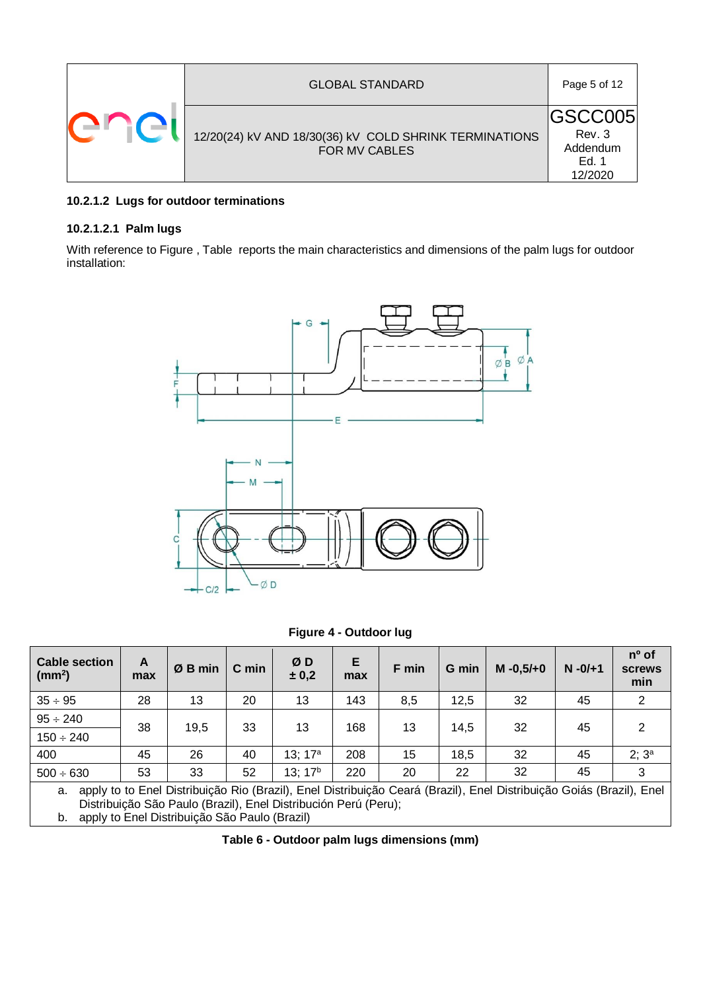| <b>GLOBAL STANDARD</b>                                                  | Page 5 of 12                                              |
|-------------------------------------------------------------------------|-----------------------------------------------------------|
| 12/20(24) kV AND 18/30(36) kV COLD SHRINK TERMINATIONS<br>FOR MV CABLES | <b>IGSCC005</b><br>Rev. 3<br>Addendum<br>Ed. 1<br>12/2020 |

# **10.2.1.2 Lugs for outdoor terminations**

#### **10.2.1.2.1 Palm lugs**

With reference to [Figure ,](#page-4-0) [Table](#page-4-1) reports the main characteristics and dimensions of the palm lugs for outdoor installation:



**Figure 4 - Outdoor lug**

<span id="page-4-0"></span>

| <b>Cable section</b><br>(mm <sup>2</sup> ) | A<br>max | Ø B min | C min | ØD<br>± 0,2         | Е<br>max | F min | G min | $M - 0.5/ + 0$ | $N - 0/ + 1$ | $n^{\circ}$ of<br><b>screws</b><br>min |
|--------------------------------------------|----------|---------|-------|---------------------|----------|-------|-------|----------------|--------------|----------------------------------------|
| $35 \div 95$                               | 28       | 13      | 20    | 13                  | 143      | 8,5   | 12,5  | 32             | 45           | 2                                      |
| $95 \div 240$                              | 38       |         |       |                     |          |       |       |                |              | 2                                      |
| $150 \div 240$                             |          | 19,5    | 33    | 13                  | 168      | 13    | 14,5  | 32             | 45           |                                        |
| 400                                        | 45       | 26      | 40    | 13; $17^a$          | 208      | 15    | 18,5  | 32             | 45           | $2; 3^a$                               |
| $500 \div 630$                             | 53       | 33      | 52    | 13; 17 <sup>b</sup> | 220      | 20    | 22    | 32             | 45           | 3                                      |

a. apply to to Enel Distribuição Rio (Brazil), Enel Distribuição Ceará (Brazil), Enel Distribuição Goiás (Brazil), Enel Distribuição São Paulo (Brazil), Enel Distribución Perú (Peru);

<span id="page-4-1"></span>b. apply to Enel Distribuição São Paulo (Brazil)

**Table 6 - Outdoor palm lugs dimensions (mm)**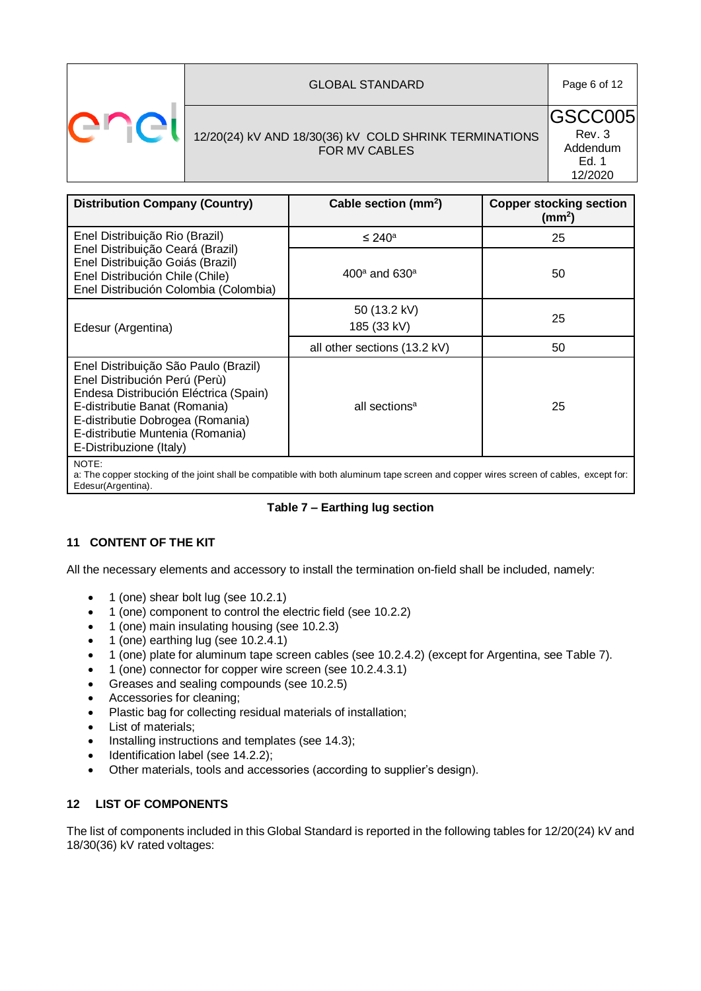

## 12/20(24) kV AND 18/30(36) kV COLD SHRINK TERMINATIONS FOR MV CABLES

GSCC005 Rev. 3 Addendum Ed. 1 12/2020

| <b>Distribution Company (Country)</b>                                                                                                                                                                                                              | Cable section (mm <sup>2</sup> )      | <b>Copper stocking section</b><br>(mm <sup>2</sup> ) |
|----------------------------------------------------------------------------------------------------------------------------------------------------------------------------------------------------------------------------------------------------|---------------------------------------|------------------------------------------------------|
| Enel Distribuição Rio (Brazil)                                                                                                                                                                                                                     | $\leq 240^\text{a}$                   | 25                                                   |
| Enel Distribuição Ceará (Brazil)<br>Enel Distribuição Goiás (Brazil)<br>Enel Distribución Chile (Chile)<br>Enel Distribución Colombia (Colombia)                                                                                                   | 400 <sup>a</sup> and 630 <sup>a</sup> | 50                                                   |
| Edesur (Argentina)                                                                                                                                                                                                                                 | 50 (13.2 kV)<br>185 (33 kV)           | 25                                                   |
|                                                                                                                                                                                                                                                    | all other sections (13.2 kV)          | 50                                                   |
| Enel Distribuição São Paulo (Brazil)<br>Enel Distribución Perú (Perù)<br>Endesa Distribución Eléctrica (Spain)<br>E-distributie Banat (Romania)<br>E-distributie Dobrogea (Romania)<br>E-distributie Muntenia (Romania)<br>E-Distribuzione (Italy) | all sections <sup>a</sup>             | 25                                                   |
| NOTE:<br>a: The copper stocking of the joint shall be compatible with both aluminum tape screen and copper wires screen of cables, except for:<br>Edesur(Argentina).                                                                               |                                       |                                                      |

## **Table 7 – Earthing lug section**

## **11 CONTENT OF THE KIT**

All the necessary elements and accessory to install the termination on-field shall be included, namely:

- 1 (one) shear bolt lug (see 10.2.1)
- 1 (one) component to control the electric field (see 10.2.2)
- 1 (one) main insulating housing (see 10.2.3)
- $\bullet$  1 (one) earthing lug (see 10.2.4.1)
- 1 (one) plate for aluminum tape screen cables (see 10.2.4.2) (except for Argentina, see Table 7).
- 1 (one) connector for copper wire screen (see 10.2.4.3.1)
- Greases and sealing compounds (see 10.2.5)
- Accessories for cleaning;
- Plastic bag for collecting residual materials of installation;
- List of materials;
- Installing instructions and templates (see 14.3);
- $\bullet$  Identification label (see 14.2.2);
- Other materials, tools and accessories (according to supplier's design).

## **12 LIST OF COMPONENTS**

The list of components included in this Global Standard is reported in the following tables for 12/20(24) kV and 18/30(36) kV rated voltages: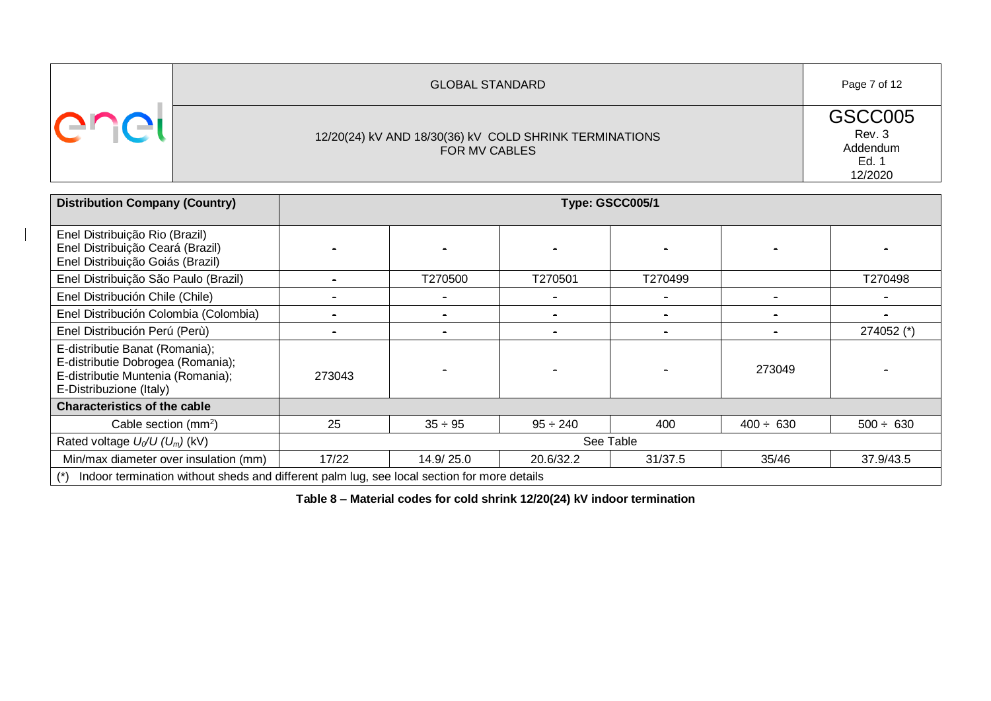| <b>GLOBAL STANDARD</b>                                                  | Page 7 of 12                                      |
|-------------------------------------------------------------------------|---------------------------------------------------|
| 12/20(24) kV AND 18/30(36) kV COLD SHRINK TERMINATIONS<br>FOR MV CABLES | GSCC005<br>Rev. 3<br>Addendum<br>Ed. 1<br>12/2020 |

| <b>Distribution Company (Country)</b>                                                                                               | Type: GSCC005/1 |              |               |         |                |                |  |
|-------------------------------------------------------------------------------------------------------------------------------------|-----------------|--------------|---------------|---------|----------------|----------------|--|
| Enel Distribuição Rio (Brazil)<br>Enel Distribuição Ceará (Brazil)<br>Enel Distribuição Goiás (Brazil)                              |                 |              |               |         |                |                |  |
| Enel Distribuição São Paulo (Brazil)                                                                                                |                 | T270500      | T270501       | T270499 |                | T270498        |  |
| Enel Distribución Chile (Chile)                                                                                                     |                 |              | $\sim$        |         |                |                |  |
| Enel Distribución Colombia (Colombia)                                                                                               |                 |              | $\sim$        |         |                |                |  |
| Enel Distribución Perú (Perù)                                                                                                       |                 |              | $\sim$        |         |                | 274052 (*)     |  |
| E-distributie Banat (Romania);<br>E-distributie Dobrogea (Romania);<br>E-distributie Muntenia (Romania);<br>E-Distribuzione (Italy) | 273043          |              |               |         | 273049         |                |  |
| <b>Characteristics of the cable</b>                                                                                                 |                 |              |               |         |                |                |  |
| Cable section $(mm^2)$                                                                                                              | 25              | $35 \div 95$ | $95 \div 240$ | 400     | $400 \div 630$ | $500 \div 630$ |  |
| Rated voltage $U_0/U$ (U <sub>m</sub> ) (kV)                                                                                        | See Table       |              |               |         |                |                |  |
| Min/max diameter over insulation (mm)                                                                                               | 17/22           | 14.9/25.0    | 20.6/32.2     | 31/37.5 | 35/46          | 37.9/43.5      |  |
| Indoor termination without sheds and different palm lug, see local section for more details                                         |                 |              |               |         |                |                |  |

**Table 8 – Material codes for cold shrink 12/20(24) kV indoor termination**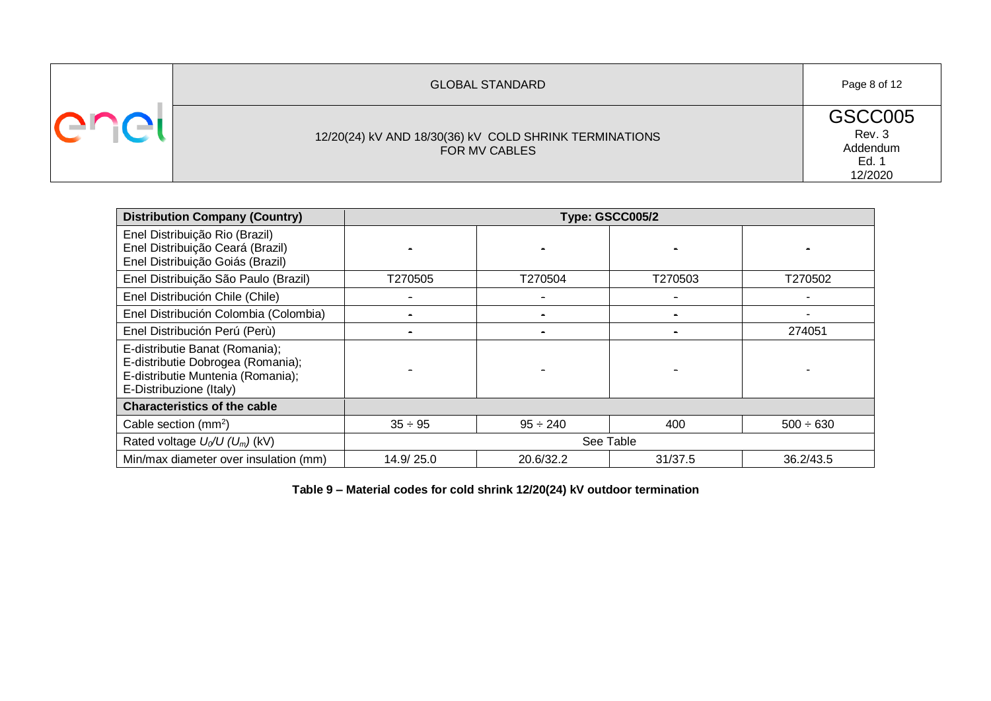| <b>GLOBAL STANDARD</b>                                                  | Page 8 of 12                                      |
|-------------------------------------------------------------------------|---------------------------------------------------|
| 12/20(24) kV AND 18/30(36) kV COLD SHRINK TERMINATIONS<br>FOR MV CABLES | GSCC005<br>Rev. 3<br>Addendum<br>Ed. 1<br>12/2020 |

| <b>Distribution Company (Country)</b>                                                                                               | Type: GSCC005/2 |               |           |                |  |
|-------------------------------------------------------------------------------------------------------------------------------------|-----------------|---------------|-----------|----------------|--|
| Enel Distribuição Rio (Brazil)<br>Enel Distribuição Ceará (Brazil)<br>Enel Distribuição Goiás (Brazil)                              |                 |               |           |                |  |
| Enel Distribuição São Paulo (Brazil)                                                                                                | T270505         | T270504       | T270503   | T270502        |  |
| Enel Distribución Chile (Chile)                                                                                                     |                 |               |           |                |  |
| Enel Distribución Colombia (Colombia)                                                                                               |                 |               |           |                |  |
| Enel Distribución Perú (Perù)                                                                                                       |                 |               |           | 274051         |  |
| E-distributie Banat (Romania);<br>E-distributie Dobrogea (Romania);<br>E-distributie Muntenia (Romania);<br>E-Distribuzione (Italy) |                 |               |           |                |  |
| <b>Characteristics of the cable</b>                                                                                                 |                 |               |           |                |  |
| Cable section $(mm^2)$                                                                                                              | $35 \div 95$    | $95 \div 240$ | 400       | $500 \div 630$ |  |
| Rated voltage $U_0/U$ ( $U_m$ ) (kV)                                                                                                |                 |               | See Table |                |  |
| Min/max diameter over insulation (mm)                                                                                               | 14.9/25.0       | 20.6/32.2     | 31/37.5   | 36.2/43.5      |  |

**Table 9 – Material codes for cold shrink 12/20(24) kV outdoor termination**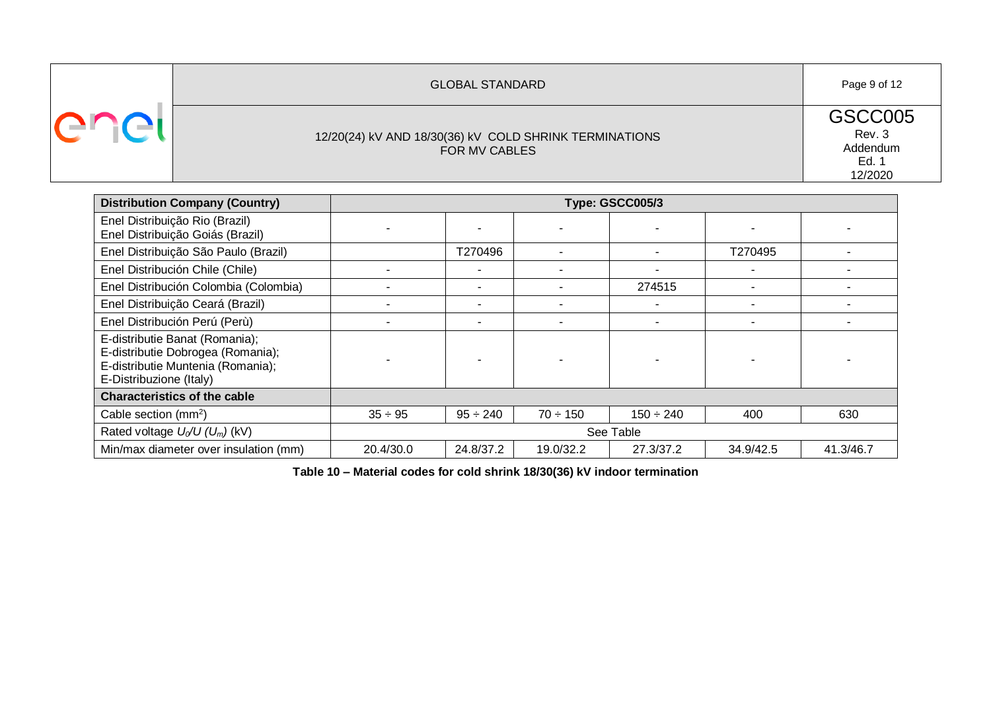| <b>GLOBAL STANDARD</b>                                                  | Page 9 of 12                                      |
|-------------------------------------------------------------------------|---------------------------------------------------|
| 12/20(24) kV AND 18/30(36) kV COLD SHRINK TERMINATIONS<br>FOR MV CABLES | GSCC005<br>Rev. 3<br>Addendum<br>Ed. 1<br>12/2020 |

| <b>Distribution Company (Country)</b>                                                                                               |              |               |               | Type: GSCC005/3 |           |           |  |  |
|-------------------------------------------------------------------------------------------------------------------------------------|--------------|---------------|---------------|-----------------|-----------|-----------|--|--|
| Enel Distribuição Rio (Brazil)<br>Enel Distribuição Goiás (Brazil)                                                                  |              |               |               |                 |           |           |  |  |
| Enel Distribuição São Paulo (Brazil)                                                                                                |              | T270496       |               |                 | T270495   |           |  |  |
| Enel Distribución Chile (Chile)                                                                                                     |              |               |               |                 |           |           |  |  |
| Enel Distribución Colombia (Colombia)                                                                                               |              |               |               | 274515          |           |           |  |  |
| Enel Distribuição Ceará (Brazil)                                                                                                    |              |               |               |                 |           |           |  |  |
| Enel Distribución Perú (Perù)                                                                                                       |              |               |               |                 |           |           |  |  |
| E-distributie Banat (Romania);<br>E-distributie Dobrogea (Romania);<br>E-distributie Muntenia (Romania);<br>E-Distribuzione (Italy) |              |               |               |                 |           |           |  |  |
| <b>Characteristics of the cable</b>                                                                                                 |              |               |               |                 |           |           |  |  |
| Cable section $(mm^2)$                                                                                                              | $35 \div 95$ | $95 \div 240$ | $70 \div 150$ | $150 \div 240$  | 400       | 630       |  |  |
| Rated voltage $U_0/U$ ( $U_m$ ) (kV)                                                                                                |              | See Table     |               |                 |           |           |  |  |
| Min/max diameter over insulation (mm)                                                                                               | 20.4/30.0    | 24.8/37.2     | 19.0/32.2     | 27.3/37.2       | 34.9/42.5 | 41.3/46.7 |  |  |

**Table 10 – Material codes for cold shrink 18/30(36) kV indoor termination**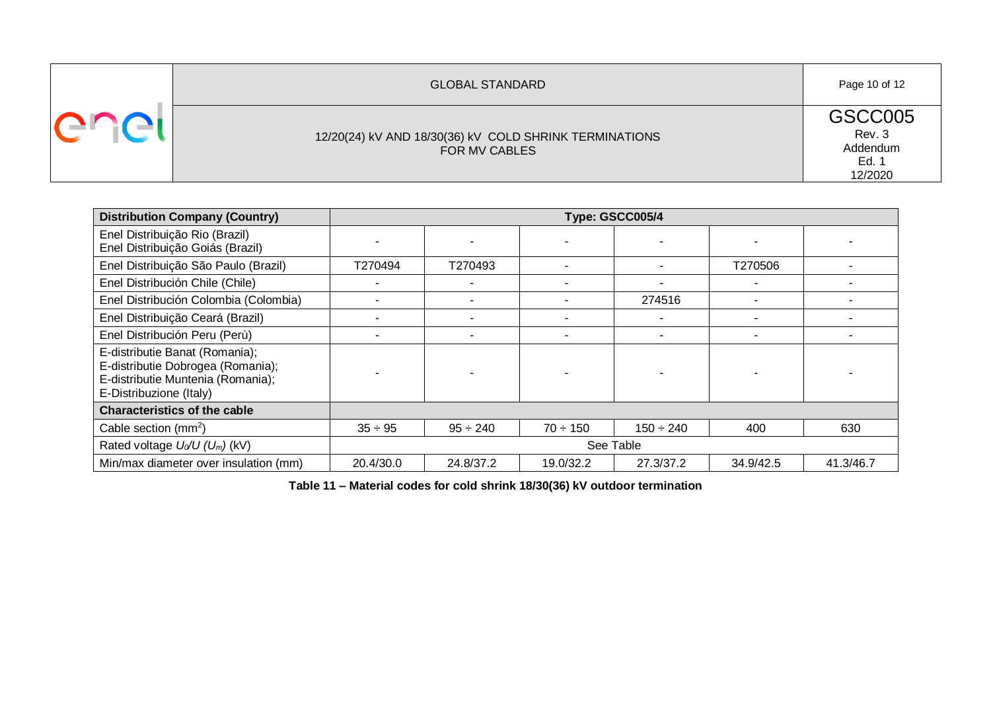| <b>GLOBAL STANDARD</b>                                                  | Page 10 of 12                                     |
|-------------------------------------------------------------------------|---------------------------------------------------|
| 12/20(24) kV AND 18/30(36) kV COLD SHRINK TERMINATIONS<br>FOR MV CABLES | GSCC005<br>Rev. 3<br>Addendum<br>Ed. 1<br>12/2020 |

| <b>Distribution Company (Country)</b>                                                                                               |              |               |               | Type: GSCC005/4 |           |           |  |
|-------------------------------------------------------------------------------------------------------------------------------------|--------------|---------------|---------------|-----------------|-----------|-----------|--|
| Enel Distribuição Rio (Brazil)<br>Enel Distribuição Goiás (Brazil)                                                                  |              |               |               |                 |           |           |  |
| Enel Distribuição São Paulo (Brazil)                                                                                                | T270494      | T270493       |               |                 | T270506   |           |  |
| Enel Distribución Chile (Chile)                                                                                                     |              |               |               |                 |           |           |  |
| Enel Distribución Colombia (Colombia)                                                                                               |              |               |               | 274516          |           |           |  |
| Enel Distribuição Ceará (Brazil)                                                                                                    |              |               |               |                 |           |           |  |
| Enel Distribución Peru (Perù)                                                                                                       |              |               |               |                 |           |           |  |
| E-distributie Banat (Romania);<br>E-distributie Dobrogea (Romania);<br>E-distributie Muntenia (Romania);<br>E-Distribuzione (Italy) |              |               |               |                 |           |           |  |
| <b>Characteristics of the cable</b>                                                                                                 |              |               |               |                 |           |           |  |
| Cable section $(mm^2)$                                                                                                              | $35 \div 95$ | $95 \div 240$ | $70 \div 150$ | $150 \div 240$  | 400       | 630       |  |
| Rated voltage $U_0/U$ ( $U_m$ ) (kV)                                                                                                | See Table    |               |               |                 |           |           |  |
| Min/max diameter over insulation (mm)                                                                                               | 20.4/30.0    | 24.8/37.2     | 19.0/32.2     | 27.3/37.2       | 34.9/42.5 | 41.3/46.7 |  |

**Table 11 – Material codes for cold shrink 18/30(36) kV outdoor termination**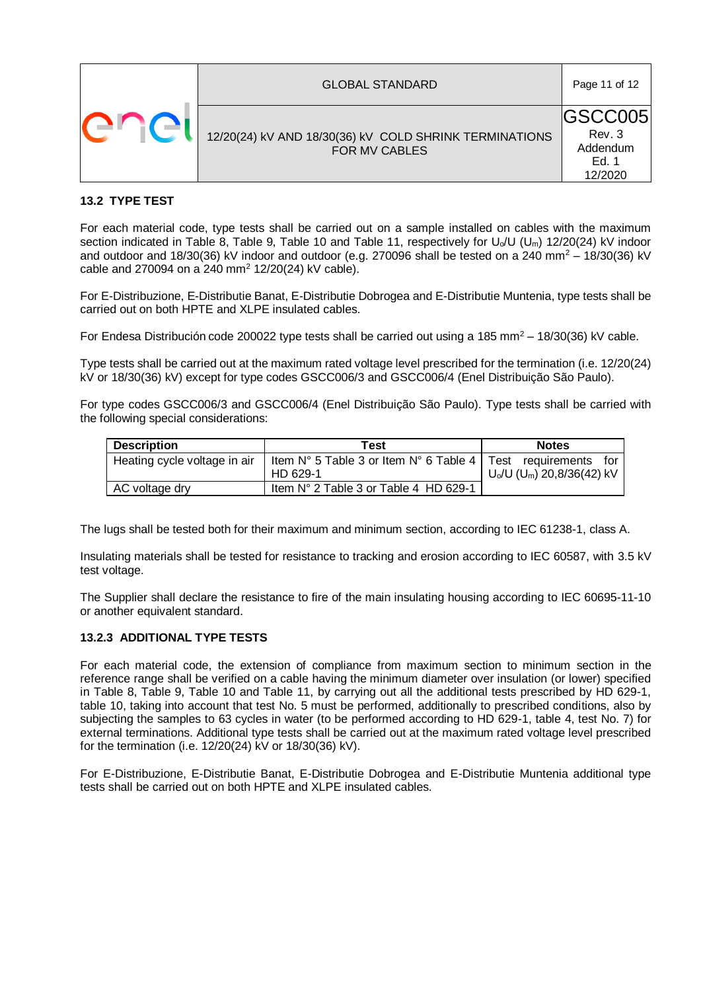| <b>GLOBAL STANDARD</b>                                                  | Page 11 of 12                                             |
|-------------------------------------------------------------------------|-----------------------------------------------------------|
| 12/20(24) kV AND 18/30(36) kV COLD SHRINK TERMINATIONS<br>FOR MV CABLES | <b>IGSCC005</b><br>Rev. 3<br>Addendum<br>Ed. 1<br>12/2020 |

### **13.2 TYPE TEST**

For each material code, type tests shall be carried out on a sample installed on cables with the maximum section indicated in Table 8, Table 9, Table 10 and Table 11, respectively for U<sub>o</sub>/U (U<sub>m</sub>) 12/20(24) kV indoor and outdoor and 18/30(36) kV indoor and outdoor (e.g. 270096 shall be tested on a 240 mm<sup>2</sup> – 18/30(36) kV cable and 270094 on a 240 mm<sup>2</sup> 12/20(24) kV cable).

For E-Distribuzione, E-Distributie Banat, E-Distributie Dobrogea and E-Distributie Muntenia, type tests shall be carried out on both HPTE and XLPE insulated cables.

For Endesa Distribución code 200022 type tests shall be carried out using a 185 mm<sup>2</sup> – 18/30(36) kV cable.

Type tests shall be carried out at the maximum rated voltage level prescribed for the termination (i.e. 12/20(24) kV or 18/30(36) kV) except for type codes GSCC006/3 and GSCC006/4 (Enel Distribuição São Paulo).

For type codes GSCC006/3 and GSCC006/4 (Enel Distribuição São Paulo). Type tests shall be carried with the following special considerations:

| <b>Description</b>           | Test                                                                         | <b>Notes</b>                             |
|------------------------------|------------------------------------------------------------------------------|------------------------------------------|
| Heating cycle voltage in air | Item $N^{\circ}$ 5 Table 3 or Item $N^{\circ}$ 6 Table 4   Test requirements | for                                      |
|                              | HD 629-1                                                                     | $U_0/U$ (U <sub>m</sub> ) 20,8/36(42) kV |
| AC voltage dry               | Item N° 2 Table 3 or Table 4 HD 629-1                                        |                                          |

The lugs shall be tested both for their maximum and minimum section, according to IEC 61238-1, class A.

Insulating materials shall be tested for resistance to tracking and erosion according to IEC 60587, with 3.5 kV test voltage.

The Supplier shall declare the resistance to fire of the main insulating housing according to IEC 60695-11-10 or another equivalent standard.

#### **13.2.3 ADDITIONAL TYPE TESTS**

For each material code, the extension of compliance from maximum section to minimum section in the reference range shall be verified on a cable having the minimum diameter over insulation (or lower) specified in Table 8, Table 9, Table 10 and Table 11, by carrying out all the additional tests prescribed by HD 629-1, table 10, taking into account that test No. 5 must be performed, additionally to prescribed conditions, also by subjecting the samples to 63 cycles in water (to be performed according to HD 629-1, table 4, test No. 7) for external terminations. Additional type tests shall be carried out at the maximum rated voltage level prescribed for the termination (i.e. 12/20(24) kV or 18/30(36) kV).

For E-Distribuzione, E-Distributie Banat, E-Distributie Dobrogea and E-Distributie Muntenia additional type tests shall be carried out on both HPTE and XLPE insulated cables.